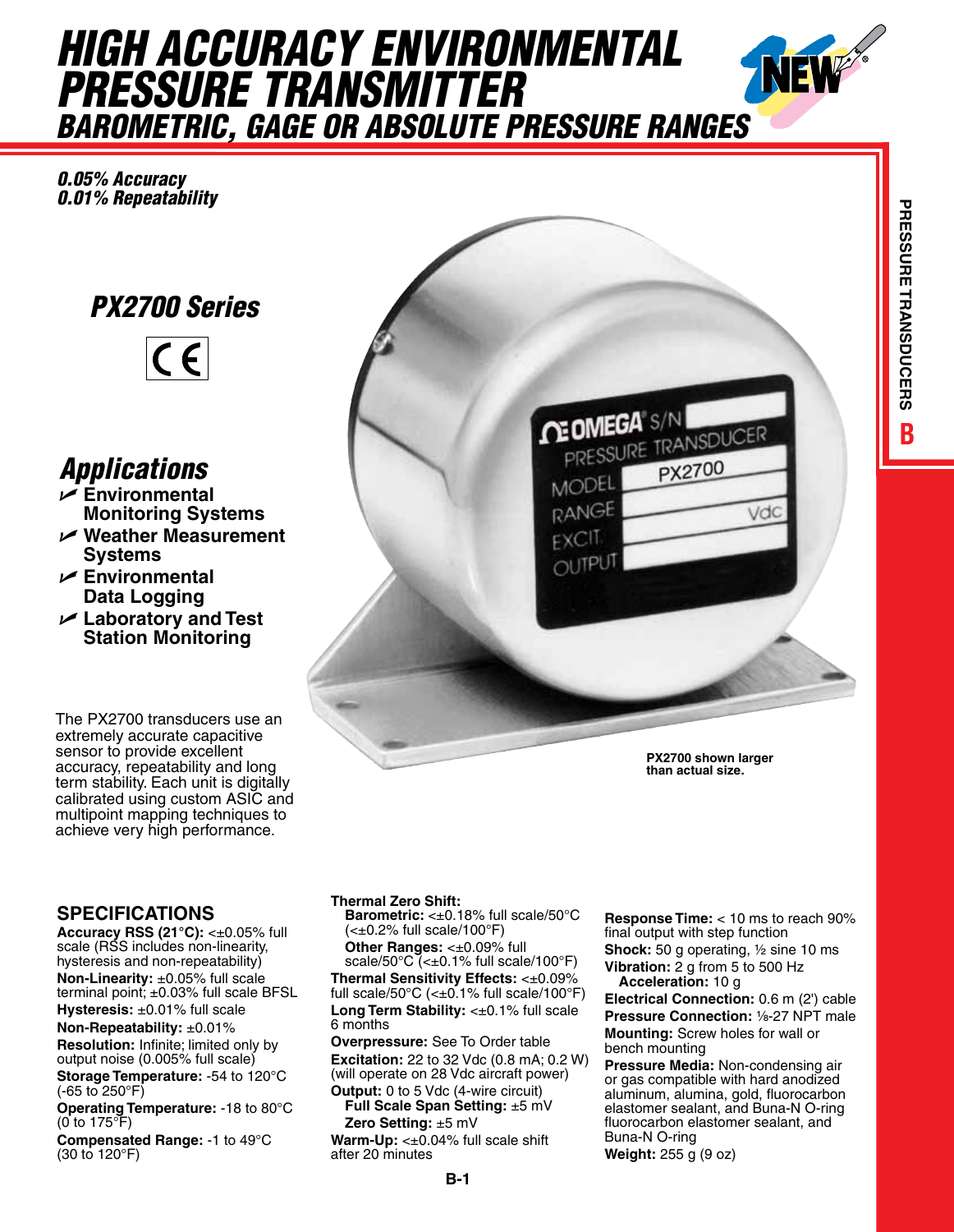# *HIGH ACCURACY ENVIRONMENTAL PRESSURE TRANSMITTER BAROMETRIC, GAGE OR ABSOLUTE PRESSURE RANGES*

*0.05% Accuracy 0.01% Repeatability*

## *PX2700 Series*



## *Applications*

- U **Environmental Monitoring Systems** U **Weather Measurement**
- **Systems**
- U **Environmental Data Logging**
- U **Laboratory and Test Station Monitoring**

The PX2700 transducers use an extremely accurate capacitive sensor to provide excellent accuracy, repeatability and long term stability. Each unit is digitally calibrated using custom ASIC and multipoint mapping techniques to achieve very high performance.

#### **SPECIFICATIONS**

**Accuracy RSS (21°C):** <±0.05% full scale (RSS includes non-linearity, hysteresis and non-repeatability) **Non-Linearity:** ±0.05% full scale terminal point; ±0.03% full scale BFSL **Hysteresis:** ±0.01% full scale

**Non-Repeatability:** ±0.01% **Resolution:** Infinite; limited only by output noise (0.005% full scale)

**Storage Temperature:** -54 to 120°C (-65 to 250°F)

**Operating Temperature:** -18 to 80°C (0 to 175°F)

**Compensated Range:** -1 to 49°C (30 to 120°F)



**PX2700 shown larger than actual size.**

#### **Thermal Zero Shift:**

**Barometric:** <±0.18% full scale/50°C (<±0.2% full scale/100°F) **Other Ranges:** <±0.09% full scale/50 $\degree$ C (< $\pm$ 0.1% full scale/100 $\degree$ F) **Thermal Sensitivity Effects:** <±0.09% full scale/50 $\degree$ C (< $\pm$ 0.1% full scale/100 $\degree$ F) **Long Term Stability:** <±0.1% full scale 6 months

**Overpressure:** See To Order table **Excitation:** 22 to 32 Vdc (0.8 mA; 0.2 W) (will operate on 28 Vdc aircraft power)

**Output:** 0 to 5 Vdc (4-wire circuit) **Full Scale Span Setting:** ±5 mV **Zero Setting:** ±5 mV

**Warm-Up:** <±0.04% full scale shift after 20 minutes

**Response Time:** < 10 ms to reach 90% final output with step function **Shock:** 50 g operating, ½ sine 10 ms **Vibration:** 2 g from 5 to 500 Hz

**Acceleration:** 10 g **Electrical Connection:** 0.6 m (2') cable **Pressure Connection:** 1/8-27 NPT male **Mounting:** Screw holes for wall or bench mounting

**Pressure Media:** Non-condensing air or gas compatible with hard anodized aluminum, alumina, gold, fluorocarbon elastomer sealant, and Buna-N O-ring fluorocarbon elastomer sealant, and Buna-N O-ring

**Weight:** 255 g (9 oz)